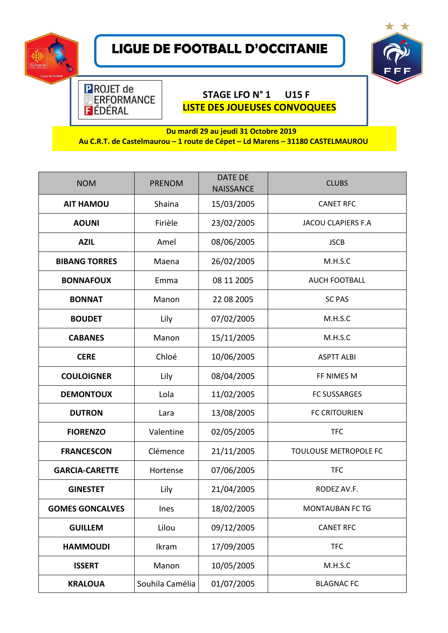

## **LIGUE DE FOOTBALL D'OCCITANIE**



## **STAGE LFO N° 1 U15 F LISTE DES JOUEUSES CONVOQUEES**

## **Du mardi 29 au jeudi 31 Octobre 2019 Au C.R.T. de Castelmaurou – 1 route de Cépet – Ld Marens – 31180 CASTELMAUROU**

| <b>NOM</b>             | <b>PRENOM</b>   | <b>DATE DE</b><br><b>NAISSANCE</b> | <b>CLUBS</b>              |
|------------------------|-----------------|------------------------------------|---------------------------|
| <b>AIT HAMOU</b>       | Shaina          | 15/03/2005                         | <b>CANET RFC</b>          |
| <b>AOUNI</b>           | Firièle         | 23/02/2005                         | <b>JACOU CLAPIERS F.A</b> |
| <b>AZIL</b>            | Amel            | 08/06/2005                         | <b>JSCB</b>               |
| <b>BIBANG TORRES</b>   | Maena           | 26/02/2005                         | M.H.S.C                   |
| <b>BONNAFOUX</b>       | Emma            | 08 11 2005                         | <b>AUCH FOOTBALL</b>      |
| <b>BONNAT</b>          | Manon           | 22 08 2005                         | <b>SC PAS</b>             |
| <b>BOUDET</b>          | Lily            | 07/02/2005                         | M.H.S.C                   |
| <b>CABANES</b>         | Manon           | 15/11/2005                         | M.H.S.C                   |
| <b>CERE</b>            | Chloé           | 10/06/2005                         | <b>ASPTT ALBI</b>         |
| <b>COULOIGNER</b>      | Lily            | 08/04/2005                         | FF NIMES M                |
| <b>DEMONTOUX</b>       | Lola            | 11/02/2005                         | <b>FC SUSSARGES</b>       |
| <b>DUTRON</b>          | Lara            | 13/08/2005                         | <b>FC CRITOURIEN</b>      |
| <b>FIORENZO</b>        | Valentine       | 02/05/2005                         | <b>TFC</b>                |
| <b>FRANCESCON</b>      | Clémence        | 21/11/2005                         | TOULOUSE METROPOLE FC     |
| <b>GARCIA-CARETTE</b>  | Hortense        | 07/06/2005                         | <b>TFC</b>                |
| <b>GINESTET</b>        | Lily            | 21/04/2005                         | RODEZ AV.F.               |
| <b>GOMES GONCALVES</b> | Ines            | 18/02/2005                         | MONTAUBAN FC TG           |
| <b>GUILLEM</b>         | Lilou           | 09/12/2005                         | <b>CANET RFC</b>          |
| <b>HAMMOUDI</b>        | Ikram           | 17/09/2005                         | <b>TFC</b>                |
| <b>ISSERT</b>          | Manon           | 10/05/2005                         | M.H.S.C                   |
| <b>KRALOUA</b>         | Souhila Camélia | 01/07/2005                         | <b>BLAGNAC FC</b>         |